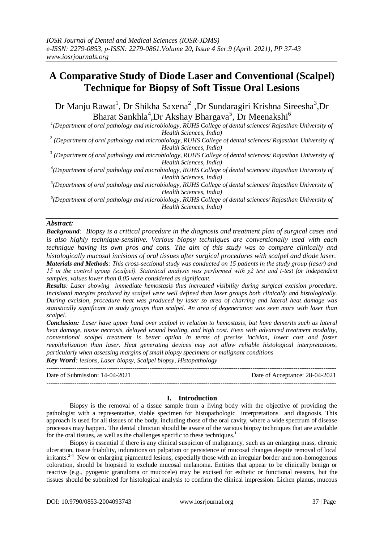# **A Comparative Study of Diode Laser and Conventional (Scalpel) Technique for Biopsy of Soft Tissue Oral Lesions**

Dr Manju Rawat<sup>1</sup>, Dr Shikha Saxena<sup>2</sup>, Dr Sundaragiri Krishna Sireesha<sup>3</sup>, Dr Bharat Sankhla<sup>4</sup>, Dr Akshay Bhargava<sup>5</sup>, Dr Meenakshi<sup>6</sup>

*1 (Department of oral pathology and microbiology, RUHS College of dental sciences/ Rajasthan University of Health Sciences, India)* 

*2 (Department of oral pathology and microbiology, RUHS College of dental sciences/ Rajasthan University of Health Sciences, India)*

*3 (Department of oral pathology and microbiology, RUHS College of dental sciences/ Rajasthan University of Health Sciences, India)*

*4 (Department of oral pathology and microbiology, RUHS College of dental sciences/ Rajasthan University of Health Sciences, India)*

*5 (Department of oral pathology and microbiology, RUHS College of dental sciences/ Rajasthan University of Health Sciences, India)*

*6 (Department of oral pathology and microbiology, RUHS College of dental sciences/ Rajasthan University of Health Sciences, India)*

## *Abstract:*

*Background: Biopsy is a critical procedure in the diagnosis and treatment plan of surgical cases and is also highly technique-sensitive. Various biopsy techniques are conventionally used with each technique having its own pros and cons. The aim of this study was to compare clinically and histologically mucosal incisions of oral tissues after surgical procedures with scalpel and diode laser. Materials and Methods: This cross-sectional study was conducted on 15 patients in the study group (laser) and 15 in the control group (scalpel). Statistical analysis was performed with χ2 test and t-test for independent samples, values lower than 0.05 were considered as significant.*

*Results: Laser showing immediate hemostasis thus increased visibility during surgical excision procedure. Incisional margins produced by scalpel were well defined than laser groups both clinically and histologically. During excision, procedure heat was produced by laser so area of charring and lateral heat damage was statistically significant in study groups than scalpel. An area of degeneration was seen more with laser than scalpel.*

*Conclusion: Laser have upper hand over scalpel in relation to hemostasis, but have demerits such as lateral heat damage, tissue necrosis, delayed wound healing, and high cost. Even with advanced treatment modality, conventional scalpel treatment is better option in terms of precise incision, lower cost and faster reepithelization than laser. Heat generating devices may not allow reliable histological interpretations, particularly when assessing margins of small biopsy specimens or malignant conditions*

*Key Word: lesions, Laser biopsy, Scalpel biopsy, Histopathology*

--------------------------------------------------------------------------------------------------------------------------------------- Date of Submission: 14-04-2021 Date of Acceptance: 28-04-2021 ---------------------------------------------------------------------------------------------------------------------------------------

#### **I. Introduction**

Biopsy is the removal of a tissue sample from a living body with the objective of providing the pathologist with a representative, viable specimen for histopathologic interpretations and diagnosis. This approach is used for all tissues of the body, including those of the oral cavity, where a wide spectrum of disease processes may happen. The dental clinician should be aware of the various biopsy techniques that are available for the oral tissues, as well as the challenges specific to these techniques.<sup>1</sup>

Biopsy is essential if there is any clinical suspicion of malignancy, such as an enlarging mass, chronic ulceration, tissue friability, indurations on palpation or persistence of mucosal changes despite removal of local irritants.2-4 New or enlarging pigmented lesions, especially those with an irregular border and non-homogenous coloration, should be biopsied to exclude mucosal melanoma. Entities that appear to be clinically benign or reactive (e.g., pyogenic granuloma or mucocele) may be excised for esthetic or functional reasons, but the tissues should be submitted for histological analysis to confirm the clinical impression. Lichen planus, mucous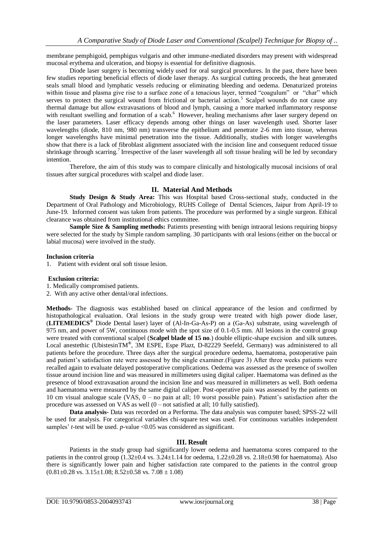membrane pemphigoid, pemphigus vulgaris and other immune-mediated disorders may present with widespread mucosal erythema and ulceration, and biopsy is essential for definitive diagnosis.

Diode laser surgery is becoming widely used for oral surgical procedures. In the past, there have been few studies reporting beneficial effects of diode laser therapy. As surgical cutting proceeds, the heat generated seals small blood and lymphatic vessels reducing or eliminating bleeding and oedema. Denaturized proteins within tissue and plasma give rise to a surface zone of a tenacious layer, termed "coagulum" or "char" which serves to protect the surgical wound from frictional or bacterial action.<sup>5</sup> Scalpel wounds do not cause any thermal damage but allow extravasations of blood and lymph, causing a more marked inflammatory response with resultant swelling and formation of a scab.<sup>6</sup> However, healing mechanisms after laser surgery depend on the laser parameters. Laser efficacy depends among other things on laser wavelength used. Shorter laser wavelengths (diode, 810 nm, 980 nm) transverse the epithelium and penetrate 2-6 mm into tissue, whereas longer wavelengths have minimal penetration into the tissue. Additionally, studies with longer wavelengths show that there is a lack of fibroblast alignment associated with the incision line and consequent reduced tissue shrinkage through scarring.<sup>7</sup> Irrespective of the laser wavelength all soft tissue healing will be led by secondary intention.

Therefore, the aim of this study was to compare clinically and histologically mucosal incisions of oral tissues after surgical procedures with scalpel and diode laser.

#### **II. Material And Methods**

**Study Design & Study Area:** This was Hospital based Cross-sectional study, conducted in the Department of Oral Pathology and Microbiology, RUHS College of Dental Sciences, Jaipur from April-19 to June-19. Informed consent was taken from patients. The procedure was performed by a single surgeon. Ethical clearance was obtained from institutional ethics committee.

**Sample Size & Sampling methods:** Patients presenting with benign intraoral lesions requiring biopsy were selected for the study by Simple random sampling. 30 participants with oral lesions (either on the buccal or labial mucosa) were involved in the study.

#### **Inclusion criteria**

1. Patient with evident oral soft tissue lesion.

#### **Exclusion criteria:**

- 1. Medically compromised patients.
- 2. With any active other dental/oral infections.

**Methods-** The diagnosis was established based on clinical appearance of the lesion and confirmed by histopathological evaluation. Oral lesions in the study group were treated with high power diode laser, (**LITEMEDICS®** Diode Dental laser) layer of (Al-In-Ga-As-P) on a (Ga-As) substrate, using wavelength of 975 nm, and power of 5W, continuous mode with the spot size of 0.1-0.5 mm. All lesions in the control group were treated with conventional scalpel (**Scalpel blade of 15 no**.) double elliptic-shape excision and silk sutures. Local anestethic (UbistesinTM**®** , 3M ESPE, Espe Plazt, D-82229 Seefeld, Germany) was administered to all patients before the procedure. Three days after the surgical procedure oedema, haematoma, postoperative pain and patient's satisfaction rate were assessed by the single examiner.(Figure 3) After three weeks patients were recalled again to evaluate delayed postoperative complications. Oedema was assessed as the presence of swollen tissue around incision line and was measured in millimeters using digital caliper. Haematoma was defined as the presence of blood extravasation around the incision line and was measured in millimeters as well. Both oedema and haematoma were measured by the same digital caliper. Post-operative pain was assessed by the patients on 10 cm visual analogue scale (VAS, 0 – no pain at all; 10 worst possible pain). Patient's satisfaction after the procedure was assessed on VAS as well (0 – not satisfied at all; 10 fully satisfied).

**Data analysis-** Data was recorded on a Performa. The data analysis was computer based; SPSS-22 will be used for analysis. For categorical variables chi-square test was used. For continuous variables independent samples' *t*-test will be used. *p*-value <0.05 was considered as significant.

### **III. Result**

Patients in the study group had significantly lower oedema and haematoma scores compared to the patients in the control group (1.32±0.4 vs. 3.24±1.14 for oedema, 1.22±0.28 vs. 2.18±0.98 for haematoma). Also there is significantly lower pain and higher satisfaction rate compared to the patients in the control group  $(0.81\pm0.28 \text{ vs. } 3.15\pm1.08; 8.52\pm0.58 \text{ vs. } 7.08\pm1.08)$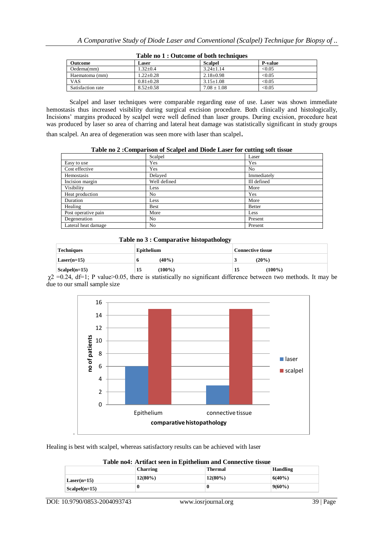| Outcome           | Laser           | <b>Scalpel</b>  | <b>P</b> -value |  |
|-------------------|-----------------|-----------------|-----------------|--|
| Oedema(mm)        | $1.32 \pm 0.4$  | $3.24 + 1.14$   | < 0.05          |  |
| Haematoma (mm)    | $1.22 + 0.28$   | $2.18 \pm 0.98$ | < 0.05          |  |
| <b>VAS</b>        | $0.81 + 0.28$   | $3.15 \pm 1.08$ | < 0.05          |  |
| Satisfaction rate | $8.52 \pm 0.58$ | $7.08 \pm 1.08$ | < 0.05          |  |

**Table no 1 : Outcome of both techniques**

Scalpel and laser techniques were comparable regarding ease of use. Laser was shown immediate hemostasis thus increased visibility during surgical excision procedure. Both clinically and histologically, Incisions' margins produced by scalpel were well defined than laser groups. During excision, procedure heat was produced by laser so area of charring and lateral heat damage was statistically significant in study groups

than scalpel. An area of degeneration was seen more with laser than scalpel.

**Table no 2 :Comparison of Scalpel and Diode Laser for cutting soft tissue**

|                     | Scalpel        | Laser         |
|---------------------|----------------|---------------|
| Easy to use         | Yes            | Yes           |
| Cost effective      | Yes            | No            |
| Hemostasis          | Delayed        | Immediately   |
| Incision margin     | Well defined   | Ill defined   |
| Visibility          | Less           | More          |
| Heat production     | N <sub>0</sub> | Yes           |
| Duration            | Less           | More          |
| Healing             | <b>Best</b>    | <b>Better</b> |
| Post operative pain | More           | Less          |
| Degeneration        | N <sub>0</sub> | Present       |
| Lateral heat damage | N <sub>0</sub> | Present       |

 **Table no 3 : Comparative histopathology**

| Techniques             | Epithelium<br><b>Connective tissue</b> |                 |
|------------------------|----------------------------------------|-----------------|
| $Laser(n=15)$          | $(40\%)$<br>o                          | (20%)           |
| $\text{Scalpel}(n=15)$ | $(100\%)$<br>15                        | $(100\%)$<br>15 |

 $\chi$ 2 =0.24, df=1; P value>0.05, there is statistically no significant difference between two methods. It may be due to our small sample size



Healing is best with scalpel, whereas satisfactory results can be achieved with laser

|                 | Charring   | <b>Thermal</b> | <b>Handling</b> |
|-----------------|------------|----------------|-----------------|
| $Laser(n=15)$   | $12(80\%)$ | $12(80\%)$     | $6(40\%)$       |
| $Scalpel(n=15)$ | U          | -0             | $9(60\%)$       |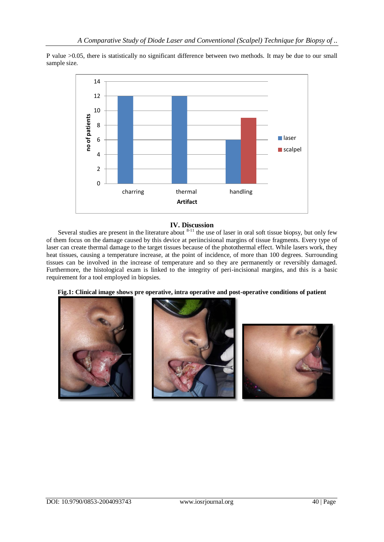P value >0.05, there is statistically no significant difference between two methods. It may be due to our small sample size.



## **IV. Discussion**

Several studies are present in the literature about  $8-11$  the use of laser in oral soft tissue biopsy, but only few of them focus on the damage caused by this device at periincisional margins of tissue fragments. Every type of laser can create thermal damage to the target tissues because of the photothermal effect. While lasers work, they heat tissues, causing a temperature increase, at the point of incidence, of more than 100 degrees. Surrounding tissues can be involved in the increase of temperature and so they are permanently or reversibly damaged. Furthermore, the histological exam is linked to the integrity of peri-incisional margins, and this is a basic requirement for a tool employed in biopsies.



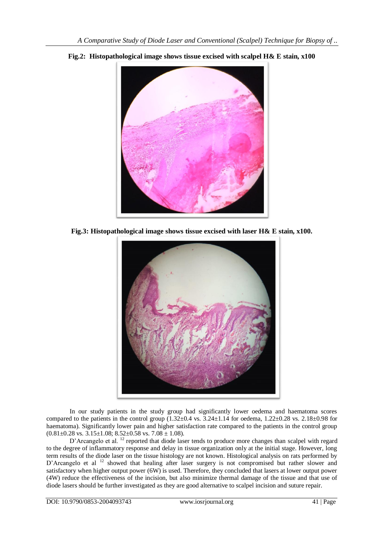

**Fig.2: Histopathological image shows tissue excised with scalpel H& E stain, x100**

**Fig.3: Histopathological image shows tissue excised with laser H& E stain, x100.**



In our study patients in the study group had significantly lower oedema and haematoma scores compared to the patients in the control group  $(1.32\pm0.4 \text{ vs. } 3.24\pm1.14 \text{ for oedema, } 1.22\pm0.28 \text{ vs. } 2.18\pm0.98 \text{ for }$ haematoma). Significantly lower pain and higher satisfaction rate compared to the patients in the control group  $(0.81 \pm 0.28 \text{ vs. } 3.15 \pm 1.08; 8.52 \pm 0.58 \text{ vs. } 7.08 \pm 1.08).$ 

D'Arcangelo et al. <sup>12</sup> reported that diode laser tends to produce more changes than scalpel with regard to the degree of inflammatory response and delay in tissue organization only at the initial stage. However, long term results of the diode laser on the tissue histology are not known. Histological analysis on rats performed by D'Arcangelo et al <sup>12</sup> showed that healing after laser surgery is not compromised but rather slower and satisfactory when higher output power (6W) is used. Therefore, they concluded that lasers at lower output power (4W) reduce the effectiveness of the incision, but also minimize thermal damage of the tissue and that use of diode lasers should be further investigated as they are good alternative to scalpel incision and suture repair.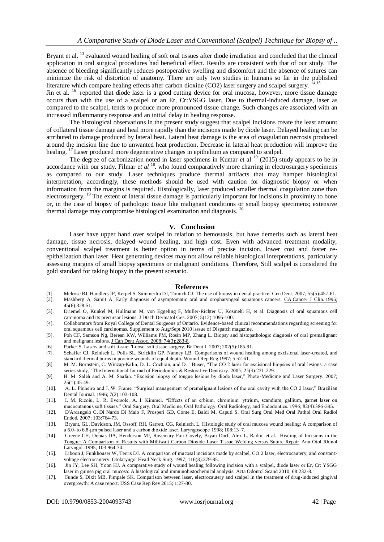Bryant et al. <sup>13</sup> evaluated wound healing of soft oral tissues after diode irradiation and concluded that the clinical application in oral surgical procedures had beneficial effect. Results are consistent with that of our study. The absence of bleeding significantly reduces postoperative swelling and discomfort and the absence of sutures can minimize the risk of distortion of anatomy. There are only two studies in humans so far in the published literature which compare healing effects after carbon dioxide (CO2) laser surgery and scalpel surgery.

Jin et al. <sup>16</sup> reported that diode laser is a good cutting device for oral mucosa, however, more tissue damage occurs than with the use of a scalpel or an Er, Cr:YSGG laser. Due to thermal-induced damage, laser as compared to the scalpel, tends to produce more pronounced tissue change. Such changes are associated with an increased inflammatory response and an initial delay in healing response.

The histological observations in the present study suggest that scalpel incisions create the least amount of collateral tissue damage and heal more rapidly than the incisions made by diode laser. Delayed healing can be attributed to damage produced by lateral heat. Lateral heat damage is the area of coagulation necrosis produced around the incision line due to unwanted heat production. Decrease in lateral heat production will improve the healing. <sup>17</sup> Laser produced more degenerative changes in epithelium as compared to scalpel.

The degree of carbonization noted in laser specimens in Kumar et al  $^{19}$  (2015) study appears to be in accordance with our study. Filmar et al <sup>18</sup>, who found comparatively more charring in electrosurgery specimens as compared to our study. Laser techniques produce thermal artifacts that may hamper histological interpretation; accordingly, these methods should be used with caution for diagnostic biopsy or when information from the margins is required. Histologically, laser produced smaller thermal coagulation zone than electrosurgery. <sup>19</sup> The extent of lateral tissue damage is particularly important for incisions in proximity to bone or, in the case of biopsy of pathologic tissue like malignant conditions or small biopsy specimens; extensive thermal damage may compromise histological examination and diagnosis.  $2^{\circ}$ 

#### **V. Conclusion**

Laser have upper hand over scalpel in relation to hemostasis, but have demerits such as lateral heat damage, tissue necrosis, delayed wound healing, and high cost. Even with advanced treatment modality, conventional scalpel treatment is better option in terms of precise incision, lower cost and faster reepithelization than laser. Heat generating devices may not allow reliable histological interpretations, particularly assessing margins of small biopsy specimens or malignant conditions. Therefore, Still scalpel is considered the gold standard for taking biopsy in the present scenario.

#### **References**

- [1]. Melrose RJ, Handlers JP, Kerpel S, Summerlin DJ, Tomich CJ. The use of biopsy in dental practice. <u>Gen Dent. 2007; 55(5):457-61</u>.<br>[2]. Mashberg A, Samit A. Early diagnosis of asymptomatic oral and oropharyngeal squamo
- Mashberg A, Samit A. Early diagnosis of asymptomatic oral and oropharyngeal squamous cancers. CA [Cancer J Clin.](http://www.ncbi.nlm.nih.gov/pubmed/7583906) 1995;  $45(6):328-51$ .
- [3]. Driemel O, Kunkel M, Hullmann M, von Eggeling F, Müller-Richter U, Kosmehl H, et al. Diagnosis of oral squamous cell carcinoma and its precursor lesions. J Dtsch Dermatol Ges. [2007; 5\(12\):1095-100.](http://www.ncbi.nlm.nih.gov/pubmed/18042091)
- [4]. Collaborators from Royal College of Dental Surgeons of Ontario. Evidence-based clinical recommendations regarding screening for oral squamous cell carcinomas. Supplement to Aug/Sept 2010 isssue of Dispatch magazine.
- [5]. Poh CF, Samson Ng, Berean KW, Williams PM, Rosin MP, Zhang L. Biopsy and histopathologic diagnosis of oral premalignant and malignant lesions. J Can Dent Assoc. [2008; 74\(3\):283-8.](http://www.ncbi.nlm.nih.gov/pubmed/18387269)
- [6]. Parker S. Lasers and soft tissue: 'Loose' soft tissue surgery. Br Dent J. 2007; 202(5):185-91.
- [7]. Schaffer CJ, Reinisch L, Polis SL, Stricklin GP, Nanney LB. Comparisons of wound healing among excisional laser-created, and standard thermal burns in porcine wounds of equal depth. Wound Rep Reg.1997; 5:52-61.
- [8]. M. M. Bornstein, C. Winzap-Kalin, D. L. Cochran, and D. ¨ Buser, "The CO 2 laser for excisional biopsies of oral lesions: a case series study," The International Journal of Periodontics & Restorative Dentistry. 2005; 25(3):221-229.
- [9]. H. M. Saleh and A. M. Saafan. "Excision biopsy of tongue lesions by diode laser," Photo-Medicine and Laser Surgery. 2007; 25(1):45-49.
- [10]. A. L. Pinheiro and J. W. Frame. "Surgical management of premalignant lesions of the oral cavity with the CO 2 laser," Brazilian Dental Journal. 1996; 7(2):103-108.
- [11]. I. M. Rizoiu, L. R. Eversole, A. I. Kimmel. "Effects of an erbium, chromium: yttrium, scandium, gallium, garnet laser on mucocutanous soft tissues," Oral Surgery, Oral Medicine, Oral Pathology, Oral Radiology, and Endodontics. 1996; 82(4):386-395.
- [12]. D'Arcangelo C, Di Nardo Di Maio F, Prosperi GD, Conte E, Baldi M, Caputi S. Oral Surg Oral Med Oral Pathol Oral Radiol Endod. 2007; 103:764-73.
- [13]. Bryant, GL, Davidson, JM, Ossoff, RH, Garrett, CG, Reinisch, L. Histologic study of oral mucosa wound healing: A comparison of a 6.0- to 6.8-μm pulsed laser and a carbon dioxide laser. Laryngoscope 1998; 108:13–7.
- [14]. Greene CH, Debias DA, Henderson MJ, [Rosemary Fair-Covely,](https://www.researchgate.net/scientific-contributions/32087285-Rosemary-Fair-Covely) [Bryan Dorf,](https://www.researchgate.net/scientific-contributions/6641857-Bryan-Dorf) [Alex L. Radin.](https://www.researchgate.net/scientific-contributions/28100935-Alex-L-Radin) et al. Healing of Incisions in the [Tongue: A Comparison of Results with Milliwatt Carbon Dioxide Laser Tissue Welding versus Suture Repair](https://www.researchgate.net/publication/15206251_Healing_of_Incisions_in_the_Tongue_A_Comparison_of_Results_with_Milliwatt_Carbon_Dioxide_Laser_Tissue_Welding_versus_Suture_Repair?_sg%5B0%5D=mV1_niQNBNM3w5AhLtiRt6-jsznM1xwYtwVgDH7Z_nHU0E_QtOwiKsZ69HorUlxUzkBsuOKmc6C4aTw.B1S_M9nGNe5nMRWX43WxxLHPukH2TezGlxPE9UTDhEjy6veamya1uz7w0mj-z_WiC0tlORNrK92RdgN-cPulCQ&_sg%5B1%5D=DAVvRxCI_bckVB2AXA4Yn_hdgzD6lmAqQ3apw4xdOGmCzRxPAZMbrcvzKmD6tenbrogqC1tCi8oniOY4CAVhSFD3s_o.B1S_M9nGNe5nMRWX43WxxLHPukH2TezGlxPE9UTDhEjy6veamya1uz7w0mj-z_WiC0tlORNrK92RdgN-cPulCQ&_sg%5B2%5D=_e90wZlTQ6pH3O4VAcfAVVpsqh2NfuNo_-7iRWAcWNCyZy48cEnBPlDFyuTbkirypS-y-o3WOOwpdk73vw.B1S_M9nGNe5nMRWX43WxxLHPukH2TezGlxPE9UTDhEjy6veamya1uz7w0mj-z_WiC0tlORNrK92RdgN-cPulCQ&_sgd%5Bpr%5D=1) Ann Otol Rhinol Laryngol. 1995; 103:964-74.
- [15]. Liboon J, Funkhouser W, Terris DJ. A comparison of mucosal incisions made by scalpel, CO 2 laser, electrocautery, and constantvoltage electrocautery. Otolaryngol Head Neck Surg. 1997; 116(3):379-85.
- [16]. Jin JY, Lee SH, Yoon HJ. A comparative study of wound healing following incision with a scalpel, diode laser or Er, Cr: YSGG laser in guinea pig oral mucosa: A histological and immunohistochemical analysis. Acta Odontol Scand 2010; 68:232-8.
- [17]. Funde S, Dixit MB, Pimpale SK. Comparison between laser, electrocautery and scalpel in the treatment of drug-induced gingival overgrowth: A case report. IJSS Case Rep Rev 2015; 1:27-30.